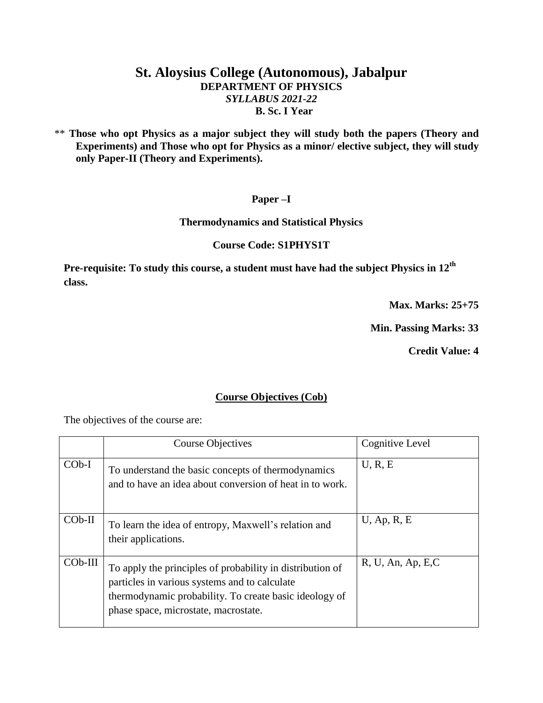# **St. Aloysius College (Autonomous), Jabalpur DEPARTMENT OF PHYSICS** *SYLLABUS 2021-22* **B. Sc. I Year**

 \*\* **Those who opt Physics as a major subject they will study both the papers (Theory and Experiments) and Those who opt for Physics as a minor/ elective subject, they will study only Paper-II (Theory and Experiments).**

### **Paper –I**

#### **Thermodynamics and Statistical Physics**

### **Course Code: S1PHYS1T**

**Pre-requisite: To study this course, a student must have had the subject Physics in 12th class.**

**Max. Marks: 25+75**

**Min. Passing Marks: 33**

**Credit Value: 4**

### **Course Objectives (Cob)**

The objectives of the course are:

|           | <b>Course Objectives</b>                                                                                                                                                                                     | Cognitive Level    |
|-----------|--------------------------------------------------------------------------------------------------------------------------------------------------------------------------------------------------------------|--------------------|
| $COb-I$   | To understand the basic concepts of thermodynamics<br>and to have an idea about conversion of heat in to work.                                                                                               | U, R, E            |
| $COb-II$  | To learn the idea of entropy, Maxwell's relation and<br>their applications.                                                                                                                                  | $U$ , Ap, R, E     |
| $COb-III$ | To apply the principles of probability in distribution of<br>particles in various systems and to calculate<br>thermodynamic probability. To create basic ideology of<br>phase space, microstate, macrostate. | R, U, An, Ap, E, C |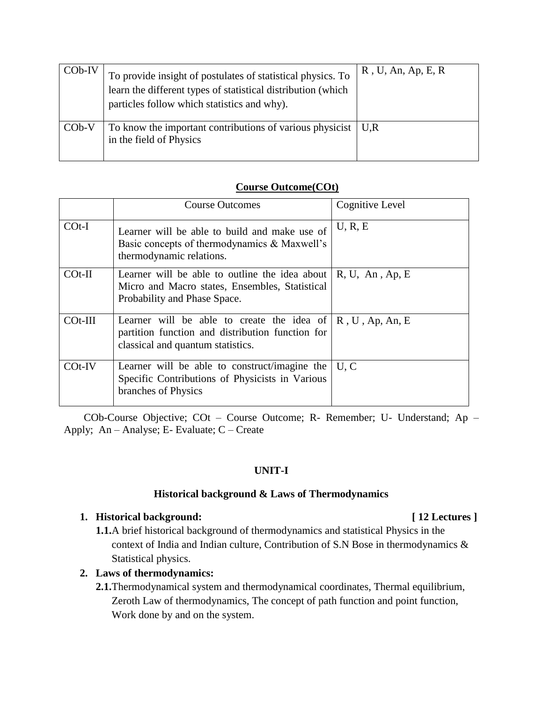| $COb-IV$ | To provide insight of postulates of statistical physics. To<br>learn the different types of statistical distribution (which<br>particles follow which statistics and why). | $R$ , U, An, Ap, E, R |
|----------|----------------------------------------------------------------------------------------------------------------------------------------------------------------------------|-----------------------|
| $COb-V$  | To know the important contributions of various physicist $\vert U, R \vert$<br>in the field of Physics                                                                     |                       |

# **Course Outcome(COt)**

|            | <b>Course Outcomes</b>                                                                                                                                     | Cognitive Level |
|------------|------------------------------------------------------------------------------------------------------------------------------------------------------------|-----------------|
| $COf-I$    | Learner will be able to build and make use of<br>Basic concepts of thermodynamics & Maxwell's<br>thermodynamic relations.                                  | U, R, E         |
| $COf-II$   | Learner will be able to outline the idea about<br>Micro and Macro states, Ensembles, Statistical<br>Probability and Phase Space.                           | R, U, An, Ap, E |
| $COt$ -III | Learner will be able to create the idea of $\mid R, U, Ap, An, E$<br>partition function and distribution function for<br>classical and quantum statistics. |                 |
| $COf-IV$   | Learner will be able to construct/imagine the<br>Specific Contributions of Physicists in Various<br>branches of Physics                                    | U, C            |

COb-Course Objective; COt – Course Outcome; R- Remember; U- Understand; Ap – Apply; An – Analyse; E- Evaluate; C – Create

# **UNIT-I**

### **Historical background & Laws of Thermodynamics**

# **1. Historical background: [ 12 Lectures ]**

**1.1.**A brief historical background of thermodynamics and statistical Physics in the context of India and Indian culture, Contribution of S.N Bose in thermodynamics & Statistical physics.

# **2. Laws of thermodynamics:**

**2.1.**Thermodynamical system and thermodynamical coordinates, Thermal equilibrium, Zeroth Law of thermodynamics, The concept of path function and point function, Work done by and on the system.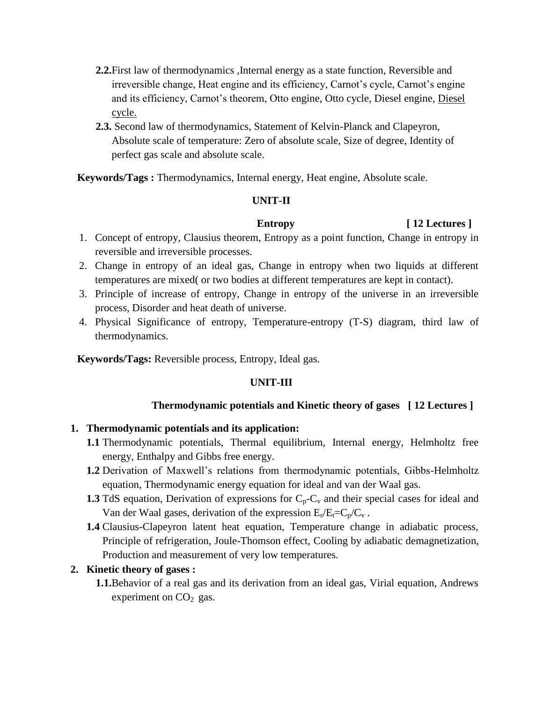- **2.2.**First law of thermodynamics ,Internal energy as a state function, Reversible and irreversible change, Heat engine and its efficiency, Carnot's cycle, Carnot's engine and its efficiency, Carnot's theorem, Otto engine, Otto cycle, Diesel engine, Diesel cycle.
- **2.3.** Second law of thermodynamics, Statement of Kelvin-Planck and Clapeyron, Absolute scale of temperature: Zero of absolute scale, Size of degree, Identity of perfect gas scale and absolute scale.

**Keywords/Tags :** Thermodynamics, Internal energy, Heat engine, Absolute scale.

### **UNIT-II**

# **Entropy** [ 12 Lectures ]

- 1. Concept of entropy, Clausius theorem, Entropy as a point function, Change in entropy in reversible and irreversible processes.
- 2. Change in entropy of an ideal gas, Change in entropy when two liquids at different temperatures are mixed( or two bodies at different temperatures are kept in contact).
- 3. Principle of increase of entropy, Change in entropy of the universe in an irreversible process, Disorder and heat death of universe.
- 4. Physical Significance of entropy, Temperature-entropy (T-S) diagram, third law of thermodynamics.

 **Keywords/Tags:** Reversible process, Entropy, Ideal gas.

# **UNIT-III**

### **Thermodynamic potentials and Kinetic theory of gases [ 12 Lectures ]**

### **1. Thermodynamic potentials and its application:**

- **1.1** Thermodynamic potentials, Thermal equilibrium, Internal energy, Helmholtz free energy, Enthalpy and Gibbs free energy.
- **1.2** Derivation of Maxwell's relations from thermodynamic potentials, Gibbs-Helmholtz equation, Thermodynamic energy equation for ideal and van der Waal gas.
- **1.3** TdS equation, Derivation of expressions for  $C_p C_v$  and their special cases for ideal and Van der Waal gases, derivation of the expression  $E_s/E_t=C_p/C_v$ .
- **1.4** Clausius-Clapeyron latent heat equation, Temperature change in adiabatic process, Principle of refrigeration, Joule-Thomson effect, Cooling by adiabatic demagnetization, Production and measurement of very low temperatures.

### **2. Kinetic theory of gases :**

**1.1.**Behavior of a real gas and its derivation from an ideal gas, Virial equation, Andrews experiment on  $CO<sub>2</sub>$  gas.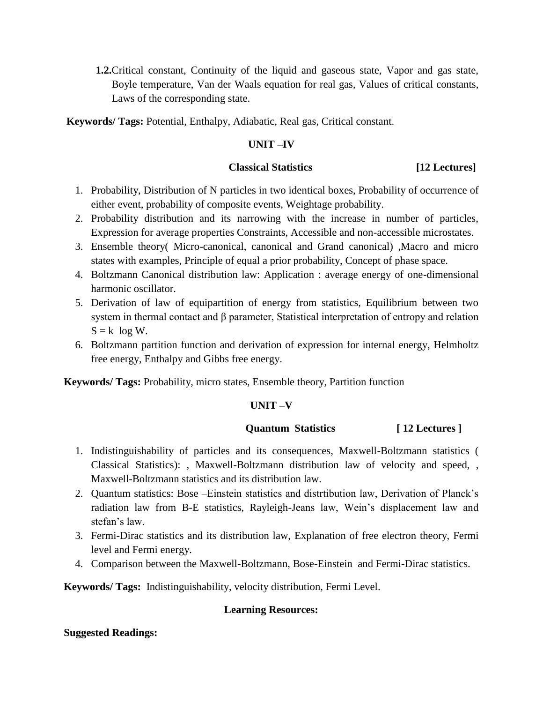**1.2.**Critical constant, Continuity of the liquid and gaseous state, Vapor and gas state, Boyle temperature, Van der Waals equation for real gas, Values of critical constants, Laws of the corresponding state.

**Keywords/ Tags:** Potential, Enthalpy, Adiabatic, Real gas, Critical constant.

# **UNIT –IV**

### **Classical Statistics [12 Lectures]**

- 1. Probability, Distribution of N particles in two identical boxes, Probability of occurrence of either event, probability of composite events, Weightage probability.
- 2. Probability distribution and its narrowing with the increase in number of particles, Expression for average properties Constraints, Accessible and non-accessible microstates.
- 3. Ensemble theory( Micro-canonical, canonical and Grand canonical) ,Macro and micro states with examples, Principle of equal a prior probability, Concept of phase space.
- 4. Boltzmann Canonical distribution law: Application : average energy of one-dimensional harmonic oscillator.
- 5. Derivation of law of equipartition of energy from statistics, Equilibrium between two system in thermal contact and β parameter, Statistical interpretation of entropy and relation  $S = k \log W$ .
- 6. Boltzmann partition function and derivation of expression for internal energy, Helmholtz free energy, Enthalpy and Gibbs free energy.

**Keywords/ Tags:** Probability, micro states, Ensemble theory, Partition function

### **UNIT –V**

### **Quantum Statistics [ 12 Lectures ]**

- 1. Indistinguishability of particles and its consequences, Maxwell-Boltzmann statistics ( Classical Statistics): , Maxwell-Boltzmann distribution law of velocity and speed, , Maxwell-Boltzmann statistics and its distribution law.
- 2. Quantum statistics: Bose –Einstein statistics and distrtibution law, Derivation of Planck's radiation law from B-E statistics, Rayleigh-Jeans law, Wein's displacement law and stefan's law.
- 3. Fermi-Dirac statistics and its distribution law, Explanation of free electron theory, Fermi level and Fermi energy.
- 4. Comparison between the Maxwell-Boltzmann, Bose-Einstein and Fermi-Dirac statistics.

**Keywords/ Tags:** Indistinguishability, velocity distribution, Fermi Level.

### **Learning Resources:**

### **Suggested Readings:**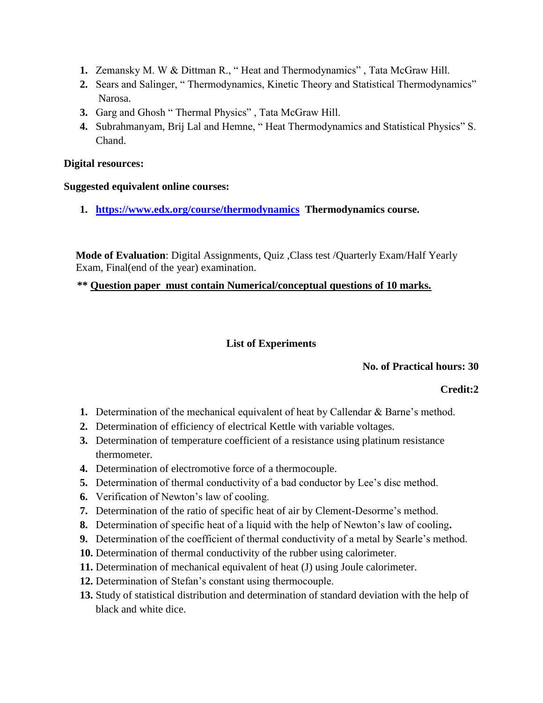- **1.** Zemansky M. W & Dittman R., " Heat and Thermodynamics" , Tata McGraw Hill.
- **2.** Sears and Salinger, " Thermodynamics, Kinetic Theory and Statistical Thermodynamics" Narosa.
- **3.** Garg and Ghosh " Thermal Physics" , Tata McGraw Hill.
- **4.** Subrahmanyam, Brij Lal and Hemne, " Heat Thermodynamics and Statistical Physics" S. Chand.

# **Digital resources:**

# **Suggested equivalent online courses:**

**1. <https://www.edx.org/course/thermodynamics>Thermodynamics course.**

 **Mode of Evaluation**: Digital Assignments, Quiz ,Class test /Quarterly Exam/Half Yearly Exam, Final(end of the year) examination.

 **\*\* Question paper must contain Numerical/conceptual questions of 10 marks.** 

# **List of Experiments**

# **No. of Practical hours: 30**

# **Credit:2**

- **1.** Determination of the mechanical equivalent of heat by Callendar & Barne's method.
- **2.** Determination of efficiency of electrical Kettle with variable voltages.
- **3.** Determination of temperature coefficient of a resistance using platinum resistance thermometer.
- **4.** Determination of electromotive force of a thermocouple.
- **5.** Determination of thermal conductivity of a bad conductor by Lee's disc method.
- **6.** Verification of Newton's law of cooling.
- **7.** Determination of the ratio of specific heat of air by Clement-Desorme's method.
- **8.** Determination of specific heat of a liquid with the help of Newton's law of cooling**.**
- **9.** Determination of the coefficient of thermal conductivity of a metal by Searle's method.
- **10.** Determination of thermal conductivity of the rubber using calorimeter.
- **11.** Determination of mechanical equivalent of heat (J) using Joule calorimeter.
- **12.** Determination of Stefan's constant using thermocouple.
- **13.** Study of statistical distribution and determination of standard deviation with the help of black and white dice.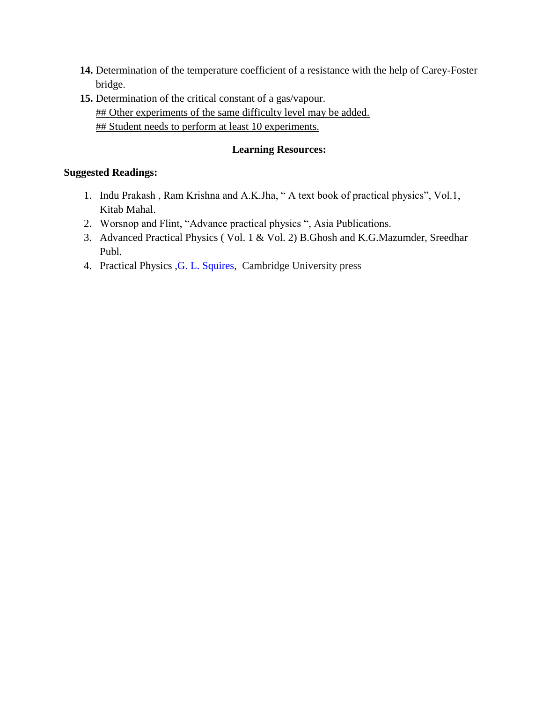- **14.** Determination of the temperature coefficient of a resistance with the help of Carey-Foster bridge.
- **15.** Determination of the critical constant of a gas/vapour. ## Other experiments of the same difficulty level may be added. ## Student needs to perform at least 10 experiments.

# **Learning Resources:**

# **Suggested Readings:**

- 1. Indu Prakash , Ram Krishna and A.K.Jha, " A text book of practical physics", Vol.1, Kitab Mahal.
- 2. Worsnop and Flint, "Advance practical physics ", Asia Publications.
- 3. Advanced Practical Physics ( Vol. 1 & Vol. 2) B.Ghosh and K.G.Mazumder, Sreedhar Publ.
- 4. Practical Physics ,G. L. [Squires,](https://www.cambridge.org/core/search?filters%5BauthorTerms%5D=G.%20L.%20Squires&eventCode=SE-AU) Cambridge University press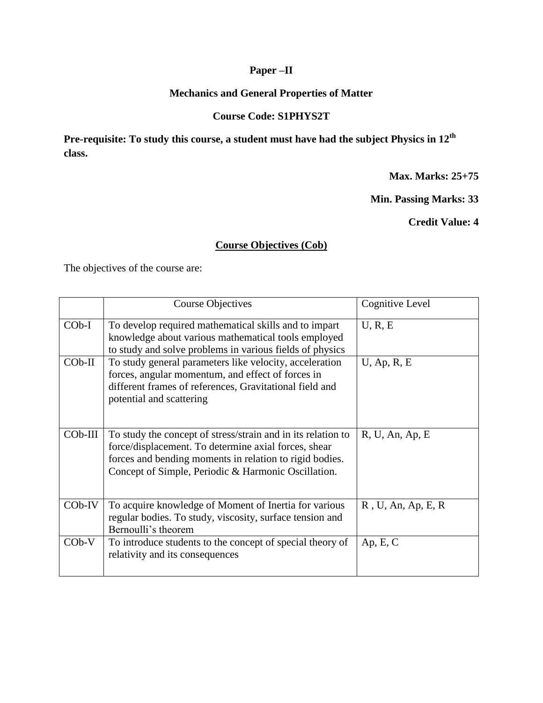# **Paper –II**

# **Mechanics and General Properties of Matter**

# **Course Code: S1PHYS2T**

**Pre-requisite: To study this course, a student must have had the subject Physics in 12th class.**

**Max. Marks: 25+75**

**Min. Passing Marks: 33**

**Credit Value: 4**

# **Course Objectives (Cob)**

The objectives of the course are:

|           | <b>Course Objectives</b>                                                                                                                                                                                                               | Cognitive Level       |
|-----------|----------------------------------------------------------------------------------------------------------------------------------------------------------------------------------------------------------------------------------------|-----------------------|
| $COb-I$   | To develop required mathematical skills and to impart<br>knowledge about various mathematical tools employed<br>to study and solve problems in various fields of physics                                                               | U, R, E               |
| $COb-II$  | To study general parameters like velocity, acceleration<br>forces, angular momentum, and effect of forces in<br>different frames of references, Gravitational field and<br>potential and scattering                                    | $U$ , Ap, R, E        |
| $COb-III$ | To study the concept of stress/strain and in its relation to<br>force/displacement. To determine axial forces, shear<br>forces and bending moments in relation to rigid bodies.<br>Concept of Simple, Periodic & Harmonic Oscillation. | R, U, An, Ap, E       |
| $COb$ -IV | To acquire knowledge of Moment of Inertia for various<br>regular bodies. To study, viscosity, surface tension and<br>Bernoulli's theorem                                                                                               | $R$ , U, An, Ap, E, R |
| $COb-V$   | To introduce students to the concept of special theory of<br>relativity and its consequences                                                                                                                                           | Ap, E, C              |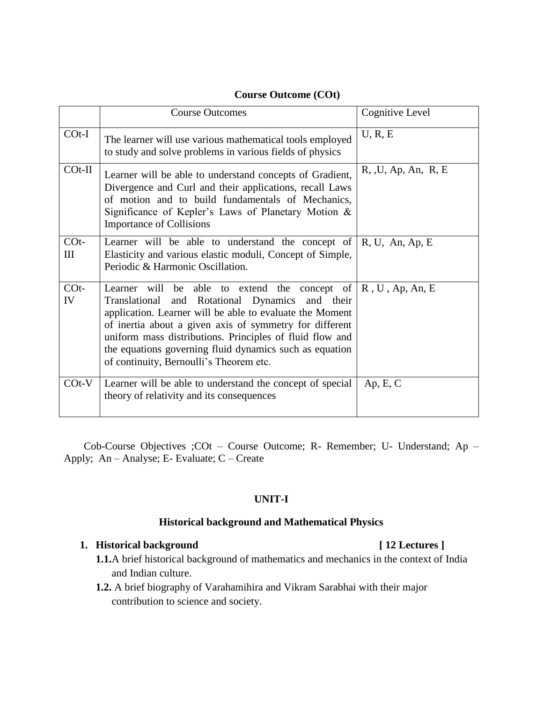# **Course Outcome (COt)**

|              | <b>Course Outcomes</b>                                                                                                                                                                                                                                                                                                                                                                                               | <b>Cognitive Level</b> |
|--------------|----------------------------------------------------------------------------------------------------------------------------------------------------------------------------------------------------------------------------------------------------------------------------------------------------------------------------------------------------------------------------------------------------------------------|------------------------|
| $COf-I$      | The learner will use various mathematical tools employed<br>to study and solve problems in various fields of physics                                                                                                                                                                                                                                                                                                 | U, R, E                |
| $COf-II$     | Learner will be able to understand concepts of Gradient,<br>Divergence and Curl and their applications, recall Laws<br>of motion and to build fundamentals of Mechanics,<br>Significance of Kepler's Laws of Planetary Motion &<br><b>Importance of Collisions</b>                                                                                                                                                   | R, U, Ap, An, R, E     |
| $COt-$<br>Ш  | Learner will be able to understand the concept of<br>Elasticity and various elastic moduli, Concept of Simple,<br>Periodic & Harmonic Oscillation.                                                                                                                                                                                                                                                                   | R, U, An, Ap, E        |
| $COf-$<br>IV | Learner will be able to extend the concept of $\mathbb R$ , U, Ap, An, E<br>Translational and Rotational Dynamics and their<br>application. Learner will be able to evaluate the Moment<br>of inertia about a given axis of symmetry for different<br>uniform mass distributions. Principles of fluid flow and<br>the equations governing fluid dynamics such as equation<br>of continuity, Bernoulli's Theorem etc. |                        |
| $COf-V$      | Learner will be able to understand the concept of special<br>theory of relativity and its consequences                                                                                                                                                                                                                                                                                                               | Ap, E, C               |

Cob-Course Objectives ;COt – Course Outcome; R- Remember; U- Understand; Ap – Apply; An – Analyse; E- Evaluate; C – Create

### **UNIT-I**

### **Historical background and Mathematical Physics**

# 1. **Historical background** [ 12 Lectures ]

- **1.1.**A brief historical background of mathematics and mechanics in the context of India and Indian culture.
- **1.2.** A brief biography of Varahamihira and Vikram Sarabhai with their major contribution to science and society.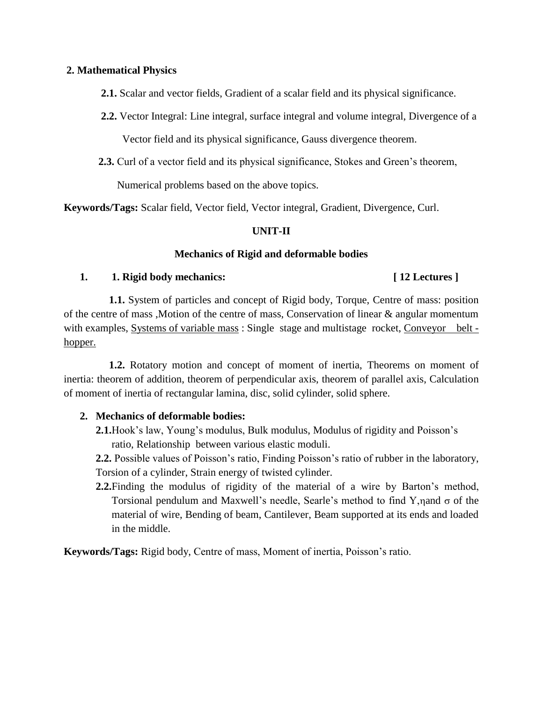### **2. Mathematical Physics**

 **2.1.** Scalar and vector fields, Gradient of a scalar field and its physical significance.

- **2.2.** Vector Integral: Line integral, surface integral and volume integral, Divergence of a Vector field and its physical significance, Gauss divergence theorem.
- **2.3.** Curl of a vector field and its physical significance, Stokes and Green's theorem,

Numerical problems based on the above topics.

**Keywords/Tags:** Scalar field, Vector field, Vector integral, Gradient, Divergence, Curl.

### **UNIT-II**

# **Mechanics of Rigid and deformable bodies**

### **1. 1. Rigid body mechanics: [ 12 Lectures ]**

 **1.1.** System of particles and concept of Rigid body, Torque, Centre of mass: position of the centre of mass ,Motion of the centre of mass, Conservation of linear & angular momentum with examples, Systems of variable mass : Single stage and multistage rocket, Conveyor belt hopper.

 **1.2.** Rotatory motion and concept of moment of inertia, Theorems on moment of inertia: theorem of addition, theorem of perpendicular axis, theorem of parallel axis, Calculation of moment of inertia of rectangular lamina, disc, solid cylinder, solid sphere.

### **2. Mechanics of deformable bodies:**

**2.1.**Hook's law, Young's modulus, Bulk modulus, Modulus of rigidity and Poisson's ratio, Relationship between various elastic moduli.

**2.2.** Possible values of Poisson's ratio, Finding Poisson's ratio of rubber in the laboratory, Torsion of a cylinder, Strain energy of twisted cylinder.

**2.2.**Finding the modulus of rigidity of the material of a wire by Barton's method, Torsional pendulum and Maxwell's needle, Searle's method to find Y,  $\eta$  and  $\sigma$  of the material of wire, Bending of beam, Cantilever, Beam supported at its ends and loaded in the middle.

**Keywords/Tags:** Rigid body, Centre of mass, Moment of inertia, Poisson's ratio.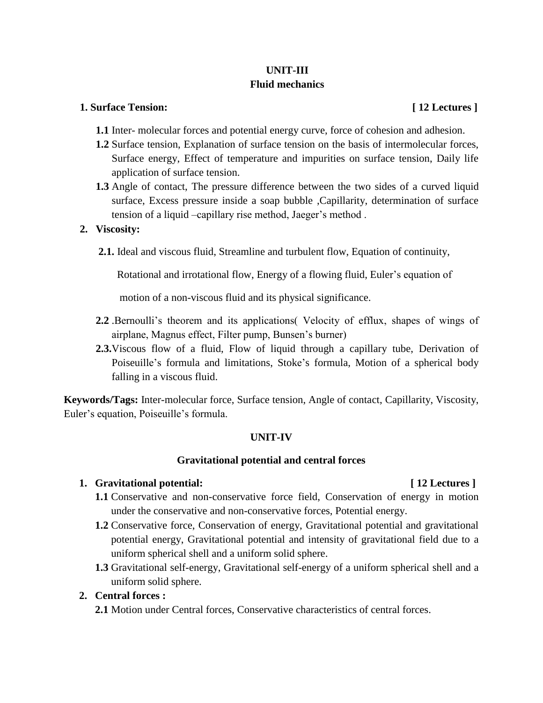# **UNIT-III Fluid mechanics**

#### **1. Surface Tension: [ 12 Lectures ]**

- **1.1** Inter- molecular forces and potential energy curve, force of cohesion and adhesion.
- **1.2** Surface tension, Explanation of surface tension on the basis of intermolecular forces, Surface energy, Effect of temperature and impurities on surface tension, Daily life application of surface tension.
- **1.3** Angle of contact, The pressure difference between the two sides of a curved liquid surface, Excess pressure inside a soap bubble ,Capillarity, determination of surface tension of a liquid –capillary rise method, Jaeger's method .

### **2. Viscosity:**

**2.1.** Ideal and viscous fluid, Streamline and turbulent flow, Equation of continuity,

Rotational and irrotational flow, Energy of a flowing fluid, Euler's equation of

motion of a non-viscous fluid and its physical significance.

- **2.2** .Bernoulli's theorem and its applications( Velocity of efflux, shapes of wings of airplane, Magnus effect, Filter pump, Bunsen's burner)
- **2.3.**Viscous flow of a fluid, Flow of liquid through a capillary tube, Derivation of Poiseuille's formula and limitations, Stoke's formula, Motion of a spherical body falling in a viscous fluid.

**Keywords/Tags:** Inter-molecular force, Surface tension, Angle of contact, Capillarity, Viscosity, Euler's equation, Poiseuille's formula.

### **UNIT-IV**

### **Gravitational potential and central forces**

### **1. Gravitational potential: [ 12 Lectures ]**

- **1.1** Conservative and non-conservative force field, Conservation of energy in motion under the conservative and non-conservative forces, Potential energy.
- **1.2** Conservative force, Conservation of energy, Gravitational potential and gravitational potential energy, Gravitational potential and intensity of gravitational field due to a uniform spherical shell and a uniform solid sphere.
- **1.3** Gravitational self-energy, Gravitational self-energy of a uniform spherical shell and a uniform solid sphere.

## **2. Central forces :**

**2.1** Motion under Central forces, Conservative characteristics of central forces.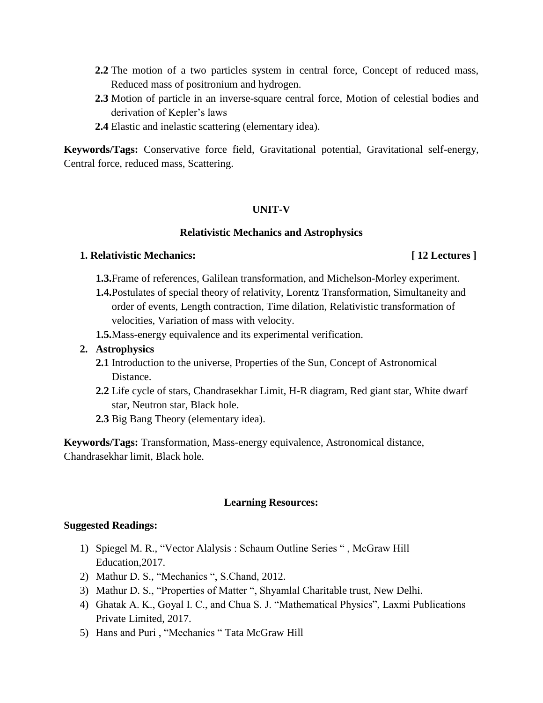- **2.2** The motion of a two particles system in central force, Concept of reduced mass, Reduced mass of positronium and hydrogen.
- **2.3** Motion of particle in an inverse-square central force, Motion of celestial bodies and derivation of Kepler's laws
- **2.4** Elastic and inelastic scattering (elementary idea).

**Keywords/Tags:** Conservative force field, Gravitational potential, Gravitational self-energy, Central force, reduced mass, Scattering.

# **UNIT-V**

#### **Relativistic Mechanics and Astrophysics**

### **1. Relativistic Mechanics: [ 12 Lectures ]**

- **1.3.**Frame of references, Galilean transformation, and Michelson-Morley experiment.
- **1.4.**Postulates of special theory of relativity, Lorentz Transformation, Simultaneity and order of events, Length contraction, Time dilation, Relativistic transformation of velocities, Variation of mass with velocity.
- **1.5.**Mass-energy equivalence and its experimental verification.

# **2. Astrophysics**

- **2.1** Introduction to the universe, Properties of the Sun, Concept of Astronomical Distance.
- **2.2** Life cycle of stars, Chandrasekhar Limit, H-R diagram, Red giant star, White dwarf star, Neutron star, Black hole.
- **2.3** Big Bang Theory (elementary idea).

**Keywords/Tags:** Transformation, Mass-energy equivalence, Astronomical distance, Chandrasekhar limit, Black hole.

### **Learning Resources:**

### **Suggested Readings:**

- 1) Spiegel M. R., "Vector Alalysis : Schaum Outline Series " , McGraw Hill Education,2017.
- 2) Mathur D. S., "Mechanics ", S.Chand, 2012.
- 3) Mathur D. S., "Properties of Matter ", Shyamlal Charitable trust, New Delhi.
- 4) Ghatak A. K., Goyal I. C., and Chua S. J. "Mathematical Physics", Laxmi Publications Private Limited, 2017.
- 5) Hans and Puri , "Mechanics " Tata McGraw Hill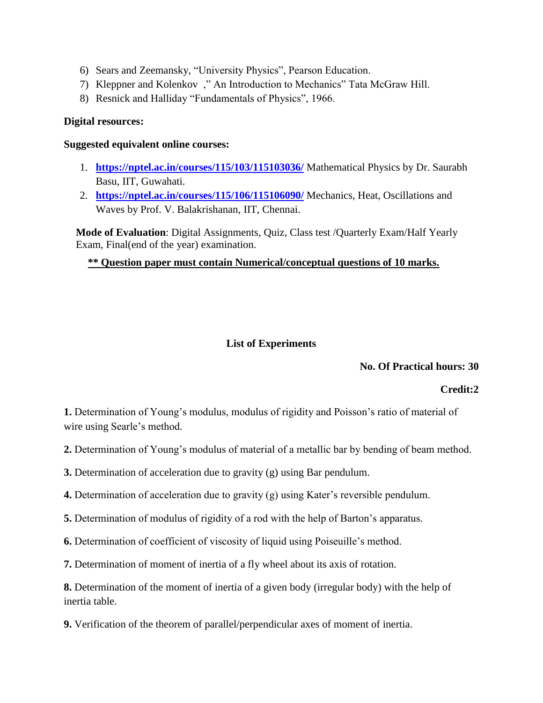- 6) Sears and Zeemansky, "University Physics", Pearson Education.
- 7) Kleppner and Kolenkov ," An Introduction to Mechanics" Tata McGraw Hill.
- 8) Resnick and Halliday "Fundamentals of Physics", 1966.

# **Digital resources:**

# **Suggested equivalent online courses:**

- 1. **<https://nptel.ac.in/courses/115/103/115103036/>** Mathematical Physics by Dr. Saurabh Basu, IIT, Guwahati.
- 2. **<https://nptel.ac.in/courses/115/106/115106090/>** Mechanics, Heat, Oscillations and Waves by Prof. V. Balakrishanan, IIT, Chennai.

 **Mode of Evaluation**: Digital Assignments, Quiz, Class test /Quarterly Exam/Half Yearly Exam, Final(end of the year) examination.

# **\*\* Question paper must contain Numerical/conceptual questions of 10 marks.**

# **List of Experiments**

# **No. Of Practical hours: 30**

# **Credit:2**

**1.** Determination of Young's modulus, modulus of rigidity and Poisson's ratio of material of wire using Searle's method.

- **2.** Determination of Young's modulus of material of a metallic bar by bending of beam method.
- **3.** Determination of acceleration due to gravity (g) using Bar pendulum.
- **4.** Determination of acceleration due to gravity (g) using Kater's reversible pendulum.
- **5.** Determination of modulus of rigidity of a rod with the help of Barton's apparatus.
- **6.** Determination of coefficient of viscosity of liquid using Poiseuille's method.
- **7.** Determination of moment of inertia of a fly wheel about its axis of rotation.

**8.** Determination of the moment of inertia of a given body (irregular body) with the help of inertia table.

**9.** Verification of the theorem of parallel/perpendicular axes of moment of inertia.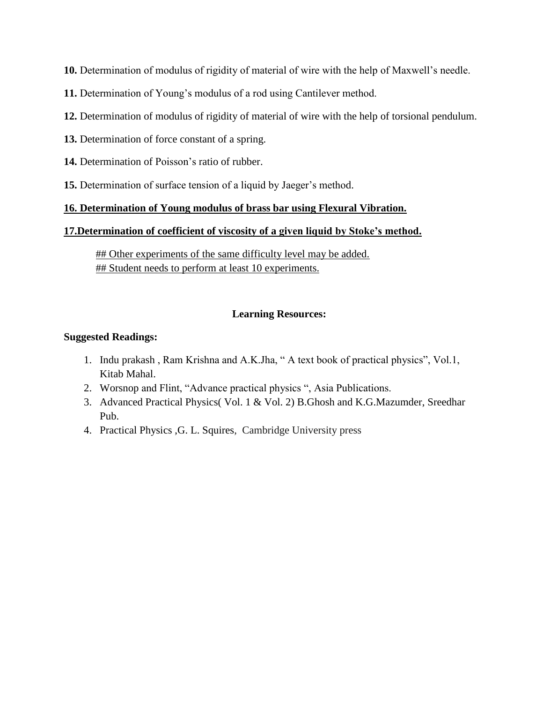**10.** Determination of modulus of rigidity of material of wire with the help of Maxwell's needle.

- **11.** Determination of Young's modulus of a rod using Cantilever method.
- **12.** Determination of modulus of rigidity of material of wire with the help of torsional pendulum.
- **13.** Determination of force constant of a spring.
- **14.** Determination of Poisson's ratio of rubber.
- **15.** Determination of surface tension of a liquid by Jaeger's method.

# **16. Determination of Young modulus of brass bar using Flexural Vibration.**

# **17.Determination of coefficient of viscosity of a given liquid by Stoke's method.**

## Other experiments of the same difficulty level may be added. ## Student needs to perform at least 10 experiments.

# **Learning Resources:**

# **Suggested Readings:**

- 1. Indu prakash , Ram Krishna and A.K.Jha, " A text book of practical physics", Vol.1, Kitab Mahal.
- 2. Worsnop and Flint, "Advance practical physics ", Asia Publications.
- 3. Advanced Practical Physics( Vol. 1 & Vol. 2) B.Ghosh and K.G.Mazumder, Sreedhar Pub.
- 4. Practical Physics ,G. L. [Squires,](https://www.cambridge.org/core/search?filters%5BauthorTerms%5D=G.%20L.%20Squires&eventCode=SE-AU) Cambridge University press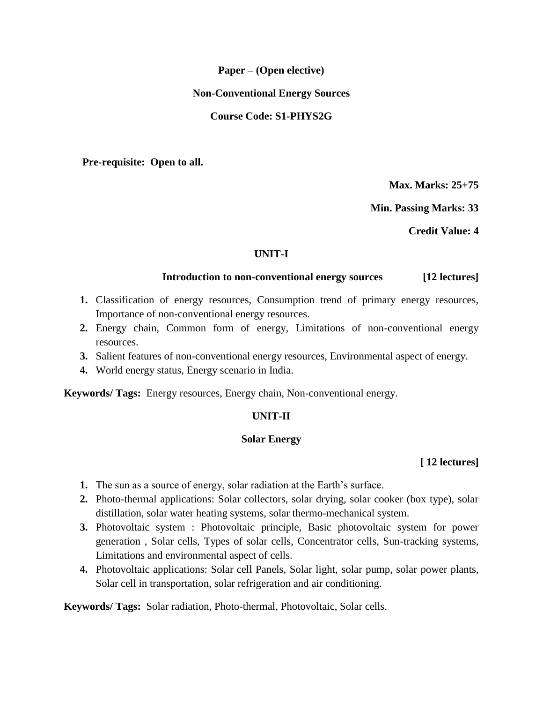### **Paper – (Open elective)**

#### **Non-Conventional Energy Sources**

#### **Course Code: S1-PHYS2G**

 **Pre-requisite: Open to all.**

**Max. Marks: 25+75**

**Min. Passing Marks: 33**

**Credit Value: 4** 

### **UNIT-I**

#### **Introduction to non-conventional energy sources [12 lectures]**

- **1.** Classification of energy resources, Consumption trend of primary energy resources, Importance of non-conventional energy resources.
- **2.** Energy chain, Common form of energy, Limitations of non-conventional energy resources.
- **3.** Salient features of non-conventional energy resources, Environmental aspect of energy.
- **4.** World energy status, Energy scenario in India.

**Keywords/ Tags:** Energy resources, Energy chain, Non-conventional energy.

#### **UNIT-II**

#### **Solar Energy**

#### **[ 12 lectures]**

- **1.** The sun as a source of energy, solar radiation at the Earth's surface.
- **2.** Photo-thermal applications: Solar collectors, solar drying, solar cooker (box type), solar distillation, solar water heating systems, solar thermo-mechanical system.
- **3.** Photovoltaic system : Photovoltaic principle, Basic photovoltaic system for power generation , Solar cells, Types of solar cells, Concentrator cells, Sun-tracking systems, Limitations and environmental aspect of cells.
- **4.** Photovoltaic applications: Solar cell Panels, Solar light, solar pump, solar power plants, Solar cell in transportation, solar refrigeration and air conditioning.

**Keywords/ Tags:** Solar radiation, Photo-thermal, Photovoltaic, Solar cells.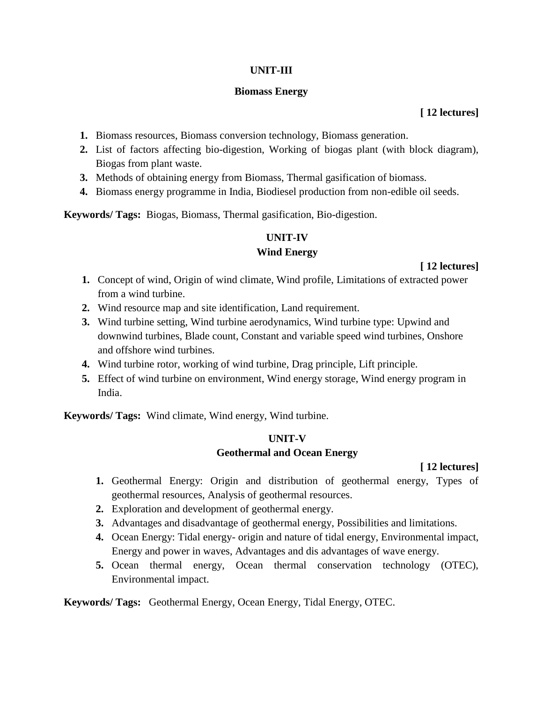# **UNIT-III**

# **Biomass Energy**

# **[ 12 lectures]**

- **1.** Biomass resources, Biomass conversion technology, Biomass generation.
- **2.** List of factors affecting bio-digestion, Working of biogas plant (with block diagram), Biogas from plant waste.
- **3.** Methods of obtaining energy from Biomass, Thermal gasification of biomass.
- **4.** Biomass energy programme in India, Biodiesel production from non-edible oil seeds.

**Keywords/ Tags:** Biogas, Biomass, Thermal gasification, Bio-digestion.

# **UNIT-IV**

# **Wind Energy**

# **[ 12 lectures]**

- **1.** Concept of wind, Origin of wind climate, Wind profile, Limitations of extracted power from a wind turbine.
- **2.** Wind resource map and site identification, Land requirement.
- **3.** Wind turbine setting, Wind turbine aerodynamics, Wind turbine type: Upwind and downwind turbines, Blade count, Constant and variable speed wind turbines, Onshore and offshore wind turbines.
- **4.** Wind turbine rotor, working of wind turbine, Drag principle, Lift principle.
- **5.** Effect of wind turbine on environment, Wind energy storage, Wind energy program in India.

**Keywords/ Tags:** Wind climate, Wind energy, Wind turbine.

# **UNIT-V**

# **Geothermal and Ocean Energy**

# **[ 12 lectures]**

- **1.** Geothermal Energy: Origin and distribution of geothermal energy, Types of geothermal resources, Analysis of geothermal resources.
- **2.** Exploration and development of geothermal energy.
- **3.** Advantages and disadvantage of geothermal energy, Possibilities and limitations.
- **4.** Ocean Energy: Tidal energy- origin and nature of tidal energy, Environmental impact, Energy and power in waves, Advantages and dis advantages of wave energy.
- **5.** Ocean thermal energy, Ocean thermal conservation technology (OTEC), Environmental impact.

# **Keywords/ Tags:** Geothermal Energy, Ocean Energy, Tidal Energy, OTEC.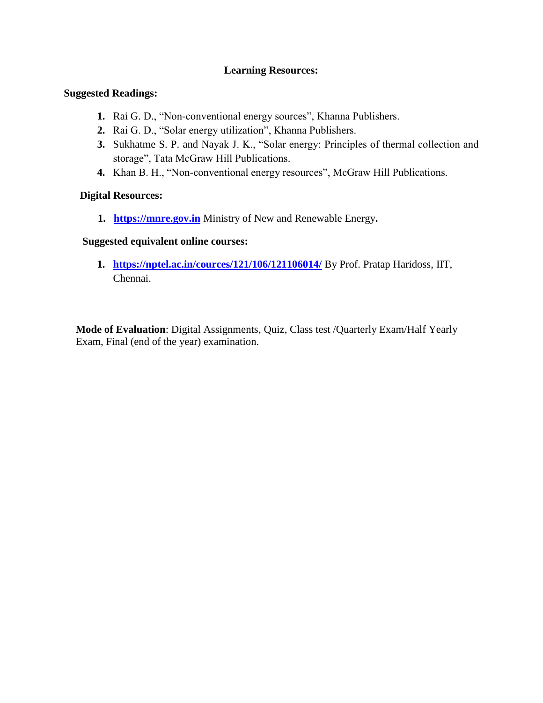# **Learning Resources:**

### **Suggested Readings:**

- **1.** Rai G. D., "Non-conventional energy sources", Khanna Publishers.
- **2.** Rai G. D., "Solar energy utilization", Khanna Publishers.
- **3.** Sukhatme S. P. and Nayak J. K., "Solar energy: Principles of thermal collection and storage", Tata McGraw Hill Publications.
- **4.** Khan B. H., "Non-conventional energy resources", McGraw Hill Publications.

### **Digital Resources:**

**1. [https://mnre.gov.in](https://mnre.gov.in/)** Ministry of New and Renewable Energy**.**

### **Suggested equivalent online courses:**

**1. <https://nptel.ac.in/cources/121/106/121106014/>** By Prof. Pratap Haridoss, IIT, Chennai.

 **Mode of Evaluation**: Digital Assignments, Quiz, Class test /Quarterly Exam/Half Yearly Exam, Final (end of the year) examination.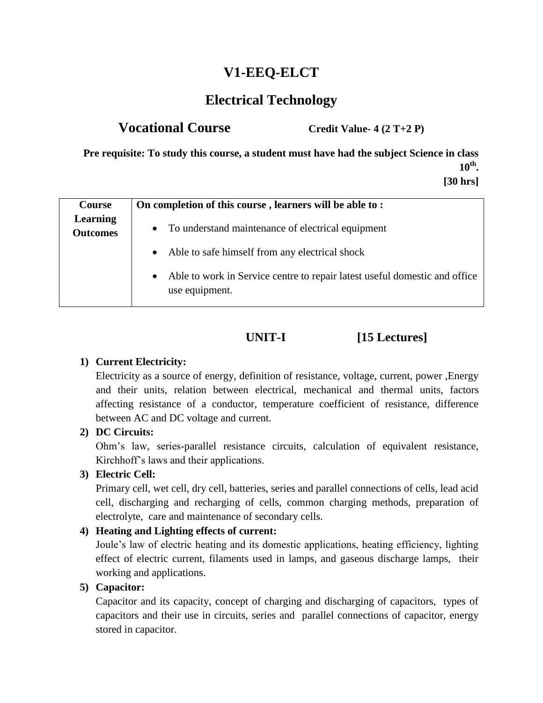# **V1-EEQ-ELCT**

# **Electrical Technology**

# **Vocational Course Credit Value- 4 (2 T+2 P)**

**Pre requisite: To study this course, a student must have had the subject Science in class 10th . [30 hrs]**

| Course                             | On completion of this course, learners will be able to:                                                   |  |
|------------------------------------|-----------------------------------------------------------------------------------------------------------|--|
| <b>Learning</b><br><b>Outcomes</b> | • To understand maintenance of electrical equipment                                                       |  |
|                                    | • Able to safe himself from any electrical shock                                                          |  |
|                                    | Able to work in Service centre to repair latest useful domestic and office<br>$\bullet$<br>use equipment. |  |

# **UNIT-I [15 Lectures]**

# **1) Current Electricity:**

Electricity as a source of energy, definition of resistance, voltage, current, power ,Energy and their units, relation between electrical, mechanical and thermal units, factors affecting resistance of a conductor, temperature coefficient of resistance, difference between AC and DC voltage and current.

# **2) DC Circuits:**

Ohm's law, series-parallel resistance circuits, calculation of equivalent resistance, Kirchhoff's laws and their applications.

# **3) Electric Cell:**

Primary cell, wet cell, dry cell, batteries, series and parallel connections of cells, lead acid cell, discharging and recharging of cells, common charging methods, preparation of electrolyte, care and maintenance of secondary cells.

# **4) Heating and Lighting effects of current:**

Joule's law of electric heating and its domestic applications, heating efficiency, lighting effect of electric current, filaments used in lamps, and gaseous discharge lamps, their working and applications.

# **5) Capacitor:**

Capacitor and its capacity, concept of charging and discharging of capacitors, types of capacitors and their use in circuits, series and parallel connections of capacitor, energy stored in capacitor.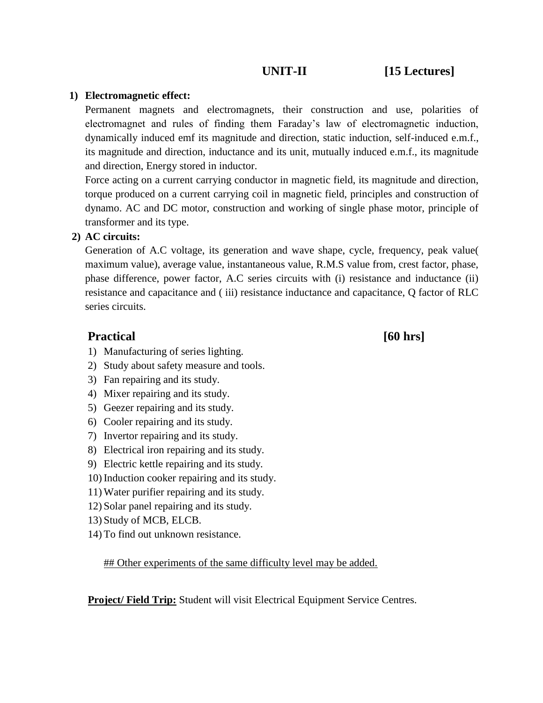# **UNIT-II** [15 Lectures]

# **1) Electromagnetic effect:**

Permanent magnets and electromagnets, their construction and use, polarities of electromagnet and rules of finding them Faraday's law of electromagnetic induction, dynamically induced emf its magnitude and direction, static induction, self-induced e.m.f., its magnitude and direction, inductance and its unit, mutually induced e.m.f., its magnitude and direction, Energy stored in inductor.

Force acting on a current carrying conductor in magnetic field, its magnitude and direction, torque produced on a current carrying coil in magnetic field, principles and construction of dynamo. AC and DC motor, construction and working of single phase motor, principle of transformer and its type.

# **2) AC circuits:**

Generation of A.C voltage, its generation and wave shape, cycle, frequency, peak value( maximum value), average value, instantaneous value, R.M.S value from, crest factor, phase, phase difference, power factor, A.C series circuits with (i) resistance and inductance (ii) resistance and capacitance and ( iii) resistance inductance and capacitance, Q factor of RLC series circuits.

# Practical [60 hrs]

- 1) Manufacturing of series lighting.
- 2) Study about safety measure and tools.
- 3) Fan repairing and its study.
- 4) Mixer repairing and its study.
- 5) Geezer repairing and its study.
- 6) Cooler repairing and its study.
- 7) Invertor repairing and its study.
- 8) Electrical iron repairing and its study.
- 9) Electric kettle repairing and its study.
- 10) Induction cooker repairing and its study.
- 11) Water purifier repairing and its study.
- 12) Solar panel repairing and its study.
- 13) Study of MCB, ELCB.
- 14) To find out unknown resistance.

**## Other experiments of the same difficulty level may be added.** 

**Project/ Field Trip:** Student will visit Electrical Equipment Service Centres.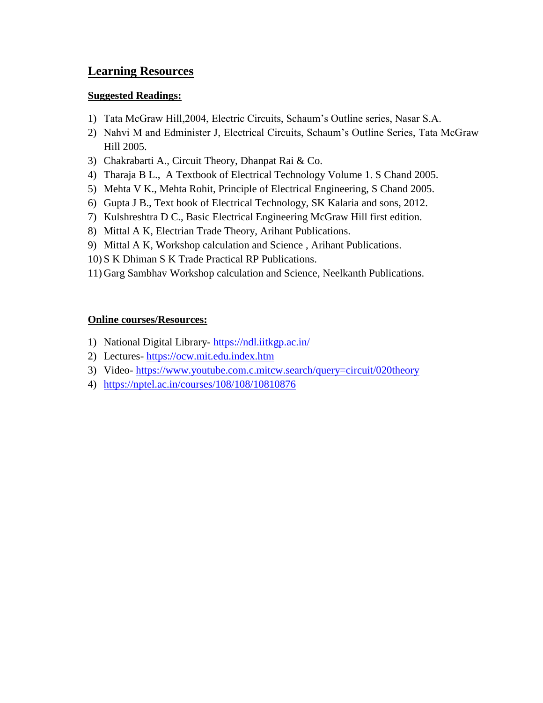# **Learning Resources**

# **Suggested Readings:**

- 1) Tata McGraw Hill,2004, Electric Circuits, Schaum's Outline series, Nasar S.A.
- 2) Nahvi M and Edminister J, Electrical Circuits, Schaum's Outline Series, Tata McGraw Hill 2005.
- 3) Chakrabarti A., Circuit Theory, Dhanpat Rai & Co.
- 4) Tharaja B L., A Textbook of Electrical Technology Volume 1. S Chand 2005.
- 5) Mehta V K., Mehta Rohit, Principle of Electrical Engineering, S Chand 2005.
- 6) Gupta J B., Text book of Electrical Technology, SK Kalaria and sons, 2012.
- 7) Kulshreshtra D C., Basic Electrical Engineering McGraw Hill first edition.
- 8) Mittal A K, Electrian Trade Theory, Arihant Publications.
- 9) Mittal A K, Workshop calculation and Science , Arihant Publications.
- 10) S K Dhiman S K Trade Practical RP Publications.
- 11) Garg Sambhav Workshop calculation and Science, Neelkanth Publications.

# **Online courses/Resources:**

- 1) National Digital Library- <https://ndl.iitkgp.ac.in/>
- 2) Lectures- [https://ocw.mit.edu.index.htm](https://ocw.mit.edu.index.htm/)
- 3) Video- <https://www.youtube.com.c.mitcw.search/query=circuit/020theory>
- 4) <https://nptel.ac.in/courses/108/108/10810876>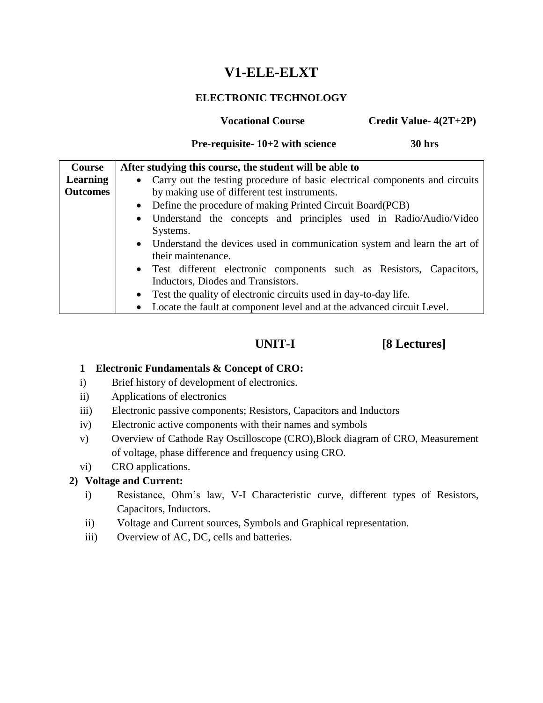# **V1-ELE-ELXT**

# **ELECTRONIC TECHNOLOGY**

**Vocational Course Credit Value-**  $4(2T+2P)$ 

# **Pre-requisite- 10+2 with science 30 hrs**

| <b>Course</b>   | After studying this course, the student will be able to                             |  |
|-----------------|-------------------------------------------------------------------------------------|--|
| Learning        | • Carry out the testing procedure of basic electrical components and circuits       |  |
| <b>Outcomes</b> | by making use of different test instruments.                                        |  |
|                 | • Define the procedure of making Printed Circuit Board(PCB)                         |  |
|                 | • Understand the concepts and principles used in Radio/Audio/Video                  |  |
|                 | Systems.                                                                            |  |
|                 | • Understand the devices used in communication system and learn the art of          |  |
|                 | their maintenance.                                                                  |  |
|                 | • Test different electronic components such as Resistors, Capacitors,               |  |
|                 | Inductors, Diodes and Transistors.                                                  |  |
|                 | • Test the quality of electronic circuits used in day-to-day life.                  |  |
|                 | Locate the fault at component level and at the advanced circuit Level.<br>$\bullet$ |  |

# **UNIT-I [8 Lectures]**

# **1 Electronic Fundamentals & Concept of CRO:**

- i) Brief history of development of electronics.
- ii) Applications of electronics
- iii) Electronic passive components; Resistors, Capacitors and Inductors
- iv) Electronic active components with their names and symbols
- v) Overview of Cathode Ray Oscilloscope (CRO),Block diagram of CRO, Measurement of voltage, phase difference and frequency using CRO.
- vi) CRO applications.

# **2) Voltage and Current:**

- i) Resistance, Ohm's law, V-I Characteristic curve, different types of Resistors, Capacitors, Inductors.
- ii) Voltage and Current sources, Symbols and Graphical representation.
- iii) Overview of AC, DC, cells and batteries.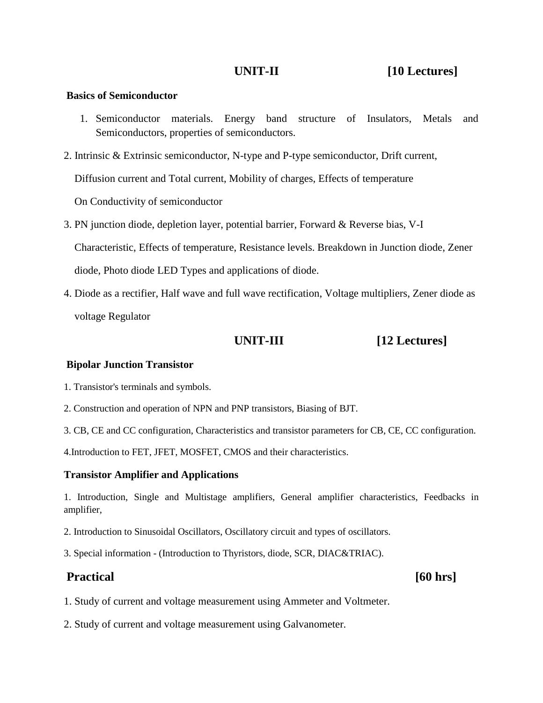#### **Basics of Semiconductor**

- 1. Semiconductor materials. Energy band structure of Insulators, Metals and Semiconductors, properties of semiconductors.
- 2. Intrinsic & Extrinsic semiconductor, N-type and P-type semiconductor, Drift current, Diffusion current and Total current, Mobility of charges, Effects of temperature

On Conductivity of semiconductor

- 3. PN junction diode, depletion layer, potential barrier, Forward & Reverse bias, V-I Characteristic, Effects of temperature, Resistance levels. Breakdown in Junction diode, Zener diode, Photo diode LED Types and applications of diode.
- 4. Diode as a rectifier, Half wave and full wave rectification, Voltage multipliers, Zener diode as voltage Regulator

# **UNIT-III [12 Lectures]**

### **Bipolar Junction Transistor**

1. Transistor's terminals and symbols.

- 2. Construction and operation of NPN and PNP transistors, Biasing of BJT.
- 3. CB, CE and CC configuration, Characteristics and transistor parameters for CB, CE, CC configuration.

4.Introduction to FET, JFET, MOSFET, CMOS and their characteristics.

### **Transistor Amplifier and Applications**

1. Introduction, Single and Multistage amplifiers, General amplifier characteristics, Feedbacks in amplifier,

- 2. Introduction to Sinusoidal Oscillators, Oscillatory circuit and types of oscillators.
- 3. Special information (Introduction to Thyristors, diode, SCR, DIAC&TRIAC).

# Practical [60 hrs]

- 1. Study of current and voltage measurement using Ammeter and Voltmeter.
- 2. Study of current and voltage measurement using Galvanometer.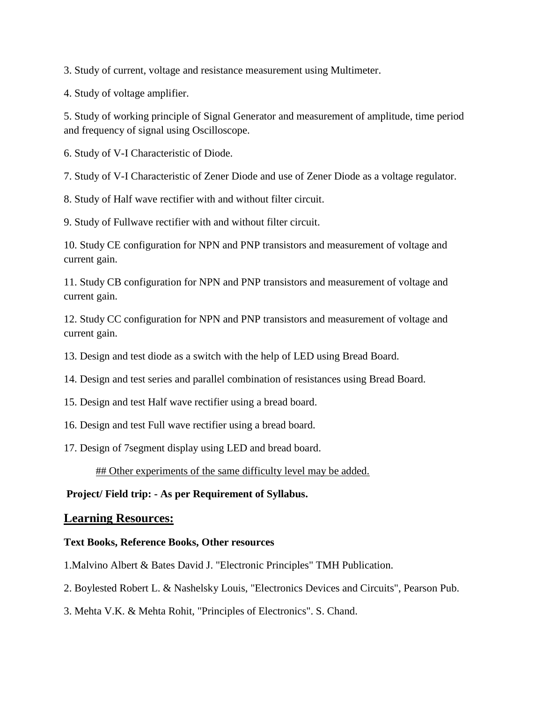3. Study of current, voltage and resistance measurement using Multimeter.

4. Study of voltage amplifier.

5. Study of working principle of Signal Generator and measurement of amplitude, time period and frequency of signal using Oscilloscope.

6. Study of V-I Characteristic of Diode.

7. Study of V-I Characteristic of Zener Diode and use of Zener Diode as a voltage regulator.

8. Study of Half wave rectifier with and without filter circuit.

9. Study of Fullwave rectifier with and without filter circuit.

10. Study CE configuration for NPN and PNP transistors and measurement of voltage and current gain.

11. Study CB configuration for NPN and PNP transistors and measurement of voltage and current gain.

12. Study CC configuration for NPN and PNP transistors and measurement of voltage and current gain.

13. Design and test diode as a switch with the help of LED using Bread Board.

14. Design and test series and parallel combination of resistances using Bread Board.

15. Design and test Half wave rectifier using a bread board.

16. Design and test Full wave rectifier using a bread board.

17. Design of 7segment display using LED and bread board.

## Other experiments of the same difficulty level may be added.

# **Project/ Field trip: - As per Requirement of Syllabus.**

# **Learning Resources:**

### **Text Books, Reference Books, Other resources**

1.Malvino Albert & Bates David J. "Electronic Principles" TMH Publication.

2. Boylested Robert L. & Nashelsky Louis, "Electronics Devices and Circuits", Pearson Pub.

3. Mehta V.K. & Mehta Rohit, "Principles of Electronics". S. Chand.